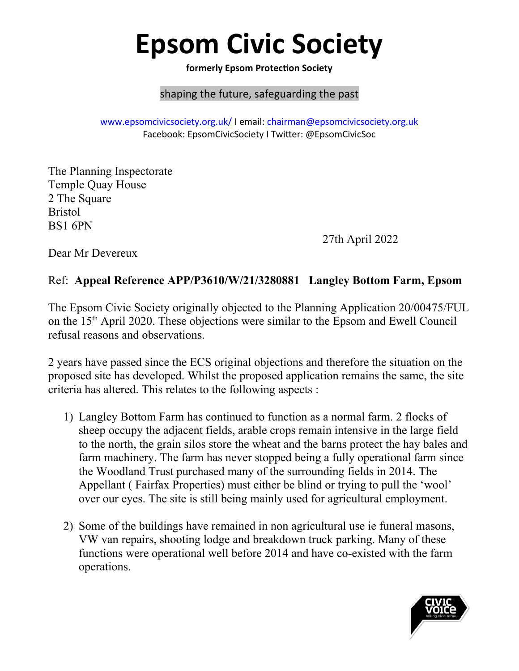## **Epsom Civic Society**

**formerly Epsom Protection Society**

## shaping the future, safeguarding the past

[www.epsomcivicsociety.org.uk/](http://www.epsomcivicsociety.org.uk/) I email: [chairman@epsomcivicsociety.org.uk](mailto:chairman@epsomcivicsociety.org.uk) Facebook: EpsomCivicSociety I Twitter: @EpsomCivicSoc

The Planning Inspectorate Temple Quay House 2 The Square Bristol BS1 6PN

27th April 2022

Dear Mr Devereux

## Ref: **Appeal Reference APP/P3610/W/21/3280881 Langley Bottom Farm, Epsom**

The Epsom Civic Society originally objected to the Planning Application 20/00475/FUL on the 15th April 2020. These objections were similar to the Epsom and Ewell Council refusal reasons and observations.

2 years have passed since the ECS original objections and therefore the situation on the proposed site has developed. Whilst the proposed application remains the same, the site criteria has altered. This relates to the following aspects :

- 1) Langley Bottom Farm has continued to function as a normal farm. 2 flocks of sheep occupy the adjacent fields, arable crops remain intensive in the large field to the north, the grain silos store the wheat and the barns protect the hay bales and farm machinery. The farm has never stopped being a fully operational farm since the Woodland Trust purchased many of the surrounding fields in 2014. The Appellant ( Fairfax Properties) must either be blind or trying to pull the 'wool' over our eyes. The site is still being mainly used for agricultural employment.
- 2) Some of the buildings have remained in non agricultural use ie funeral masons, VW van repairs, shooting lodge and breakdown truck parking. Many of these functions were operational well before 2014 and have co-existed with the farm operations.

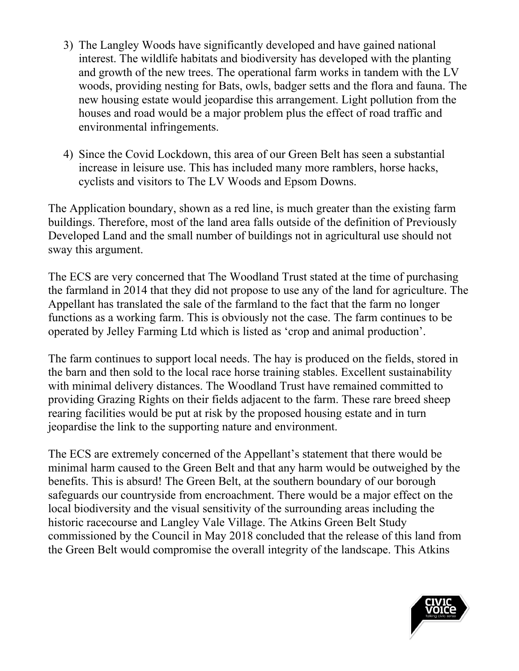- 3) The Langley Woods have significantly developed and have gained national interest. The wildlife habitats and biodiversity has developed with the planting and growth of the new trees. The operational farm works in tandem with the LV woods, providing nesting for Bats, owls, badger setts and the flora and fauna. The new housing estate would jeopardise this arrangement. Light pollution from the houses and road would be a major problem plus the effect of road traffic and environmental infringements.
- 4) Since the Covid Lockdown, this area of our Green Belt has seen a substantial increase in leisure use. This has included many more ramblers, horse hacks, cyclists and visitors to The LV Woods and Epsom Downs.

The Application boundary, shown as a red line, is much greater than the existing farm buildings. Therefore, most of the land area falls outside of the definition of Previously Developed Land and the small number of buildings not in agricultural use should not sway this argument.

The ECS are very concerned that The Woodland Trust stated at the time of purchasing the farmland in 2014 that they did not propose to use any of the land for agriculture. The Appellant has translated the sale of the farmland to the fact that the farm no longer functions as a working farm. This is obviously not the case. The farm continues to be operated by Jelley Farming Ltd which is listed as 'crop and animal production'.

The farm continues to support local needs. The hay is produced on the fields, stored in the barn and then sold to the local race horse training stables. Excellent sustainability with minimal delivery distances. The Woodland Trust have remained committed to providing Grazing Rights on their fields adjacent to the farm. These rare breed sheep rearing facilities would be put at risk by the proposed housing estate and in turn jeopardise the link to the supporting nature and environment.

The ECS are extremely concerned of the Appellant's statement that there would be minimal harm caused to the Green Belt and that any harm would be outweighed by the benefits. This is absurd! The Green Belt, at the southern boundary of our borough safeguards our countryside from encroachment. There would be a major effect on the local biodiversity and the visual sensitivity of the surrounding areas including the historic racecourse and Langley Vale Village. The Atkins Green Belt Study commissioned by the Council in May 2018 concluded that the release of this land from the Green Belt would compromise the overall integrity of the landscape. This Atkins